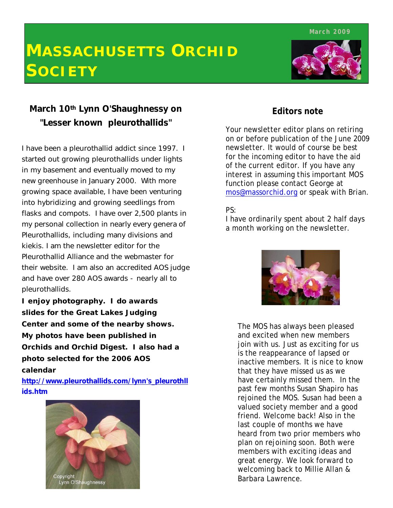**March 2009**

# **MASSACHUSETTS ORCHID SOCIETY**



### **March 10th Lynn O'Shaughnessy on "Lesser known pleurothallids"**

I have been a pleurothallid addict since 1997. I started out growing pleurothallids under lights in my basement and eventually moved to my new greenhouse in January 2000. With more growing space available, I have been venturing into hybridizing and growing seedlings from flasks and compots. I have over 2,500 plants in my personal collection in nearly every genera of Pleurothallids, including many divisions and kiekis. I am the newsletter editor for the Pleurothallid Alliance and the webmaster for their website. I am also an accredited AOS judge and have over 280 AOS awards - nearly all to pleurothallids.

**I enjoy photography. I do awards slides for the Great Lakes Judging Center and some of the nearby shows. My photos have been published in**  *Orchids* **and** *Orchid Digest.* **I also had a photo selected for the 2006 AOS calendar**

**http://www.pleurothallids.com/lynn's\_pleurothll ids.htm**



### **Editors note**

Your newsletter editor plans on retiring on or before publication of the June 2009 newsletter. It would of course be best for the incoming editor to have the aid of the current editor. If you have any interest in assuming this important MOS function please contact George at mos@massorchid.org or speak with Brian.

#### PS:

I have ordinarily spent about 2 half days a month working on the newsletter.



The MOS has always been pleased and excited when new members join with us. Just as exciting for us is the reappearance of lapsed or inactive members. It is nice to know that they have missed us as we have certainly missed them. In the past few months Susan Shapiro has rejoined the MOS. Susan had been a valued society member and a good friend. Welcome back! Also in the last couple of months we have heard from two prior members who plan on rejoining soon. Both were members with exciting ideas and great energy. We look forward to welcoming back to Millie Allan & Barbara Lawrence.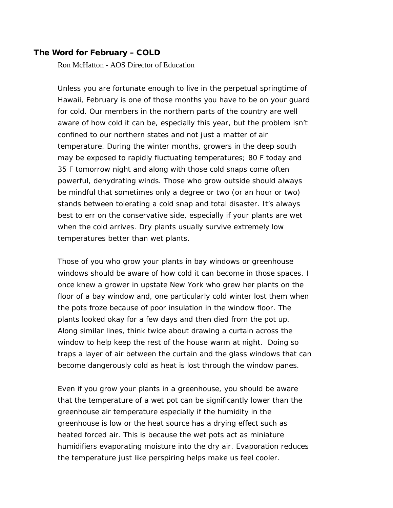#### **The Word for February – COLD**

Ron McHatton - AOS Director of Education

Unless you are fortunate enough to live in the perpetual springtime of Hawaii, February is one of those months you have to be on your guard for cold. Our members in the northern parts of the country are well aware of how cold it can be, especially this year, but the problem isn't confined to our northern states and not just a matter of air temperature. During the winter months, growers in the deep south may be exposed to rapidly fluctuating temperatures; 80 F today and 35 F tomorrow night and along with those cold snaps come often powerful, dehydrating winds. Those who grow outside should always be mindful that sometimes only a degree or two (or an hour or two) stands between tolerating a cold snap and total disaster. It's always best to err on the conservative side, especially if your plants are wet when the cold arrives. Dry plants usually survive extremely low temperatures better than wet plants.

Those of you who grow your plants in bay windows or greenhouse windows should be aware of how cold it can become in those spaces. I once knew a grower in upstate New York who grew her plants on the floor of a bay window and, one particularly cold winter lost them when the pots froze because of poor insulation in the window floor. The plants looked okay for a few days and then died from the pot up. Along similar lines, think twice about drawing a curtain across the window to help keep the rest of the house warm at night. Doing so traps a layer of air between the curtain and the glass windows that can become dangerously cold as heat is lost through the window panes.

Even if you grow your plants in a greenhouse, you should be aware that the temperature of a wet pot can be significantly lower than the greenhouse air temperature especially if the humidity in the greenhouse is low or the heat source has a drying effect such as heated forced air. This is because the wet pots act as miniature humidifiers evaporating moisture into the dry air. Evaporation reduces the temperature just like perspiring helps make us feel cooler.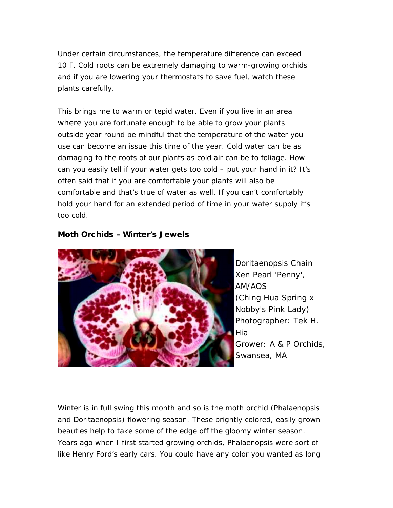Under certain circumstances, the temperature difference can exceed 10 F. Cold roots can be extremely damaging to warm-growing orchids and if you are lowering your thermostats to save fuel, watch these plants carefully.

This brings me to warm or tepid water. Even if you live in an area where you are fortunate enough to be able to grow your plants outside year round be mindful that the temperature of the water you use can become an issue this time of the year. Cold water can be as damaging to the roots of our plants as cold air can be to foliage. How can you easily tell if your water gets too cold – put your hand in it? It's often said that if you are comfortable your plants will also be comfortable and that's true of water as well. If you can't comfortably hold your hand for an extended period of time in your water supply it's too cold.

#### **Moth Orchids – Winter's Jewels**



*Doritaenopsis* Chain Xen Pearl 'Penny', AM/AOS (Ching Hua Spring x Nobby's Pink Lady) Photographer: Tek H. Hia Grower: A & P Orchids, Swansea, MA

Winter is in full swing this month and so is the moth orchid (*Phalaenopsis* and *Doritaenopsis*) flowering season. These brightly colored, easily grown beauties help to take some of the edge off the gloomy winter season. Years ago when I first started growing orchids, Phalaenopsis were sort of like Henry Ford's early cars. You could have any color you wanted as long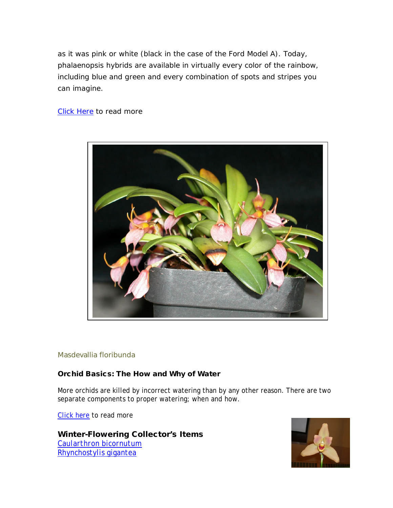as it was pink or white (black in the case of the Ford Model A). Today, phalaenopsis hybrids are available in virtually every color of the rainbow, including blue and green and every combination of spots and stripes you can imagine.

#### Click Here to read more



#### Masdevallia floribunda

#### **Orchid Basics: The How and Why of Water**

More orchids are killed by incorrect watering than by any other reason. There are two separate components to proper watering; when and how.

Click here to read more

**Winter-Flowering Collector's Items** *Caularthron bicornutum Rhynchostylis gigantea*

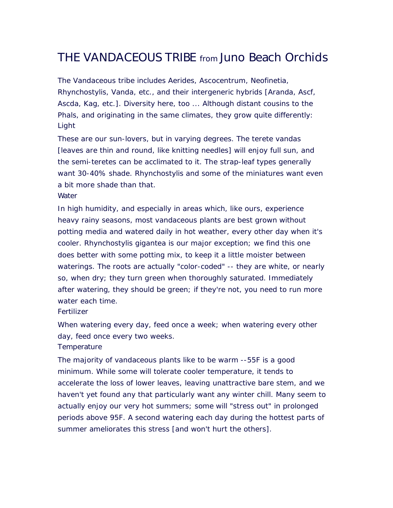## THE VANDACEOUS TRIBE from Juno Beach Orchids

The Vandaceous tribe includes Aerides, Ascocentrum, Neofinetia, Rhynchostylis, Vanda, etc., and their intergeneric hybrids [Aranda, Ascf, Ascda, Kag, etc.]. Diversity here, too ... Although distant cousins to the Phals, and originating in the same climates, they grow quite differently: Light

These are our sun-lovers, but in varying degrees. The terete vandas [leaves are thin and round, like knitting needles] will enjoy full sun, and the semi-teretes can be acclimated to it. The strap-leaf types generally want 30-40% shade. Rhynchostylis and some of the miniatures want even a bit more shade than that.

#### **Water**

In high humidity, and especially in areas which, like ours, experience heavy rainy seasons, most vandaceous plants are best grown without potting media and watered daily in hot weather, every other day when it's cooler. Rhynchostylis gigantea is our major exception; we find this one does better with some potting mix, to keep it a little moister between waterings. The roots are actually "color-coded" -- they are white, or nearly so, when dry; they turn green when thoroughly saturated. Immediately after watering, they should be green; if they're not, you need to run more water each time.

#### **Fertilizer**

When watering every day, feed once a week; when watering every other day, feed once every two weeks.

#### **Temperature**

The majority of vandaceous plants like to be warm --55F is a good minimum. While some will tolerate cooler temperature, it tends to accelerate the loss of lower leaves, leaving unattractive bare stem, and we haven't yet found any that particularly want any winter chill. Many seem to actually enjoy our very hot summers; some will "stress out" in prolonged periods above 95F. A second watering each day during the hottest parts of summer ameliorates this stress [and won't hurt the others].